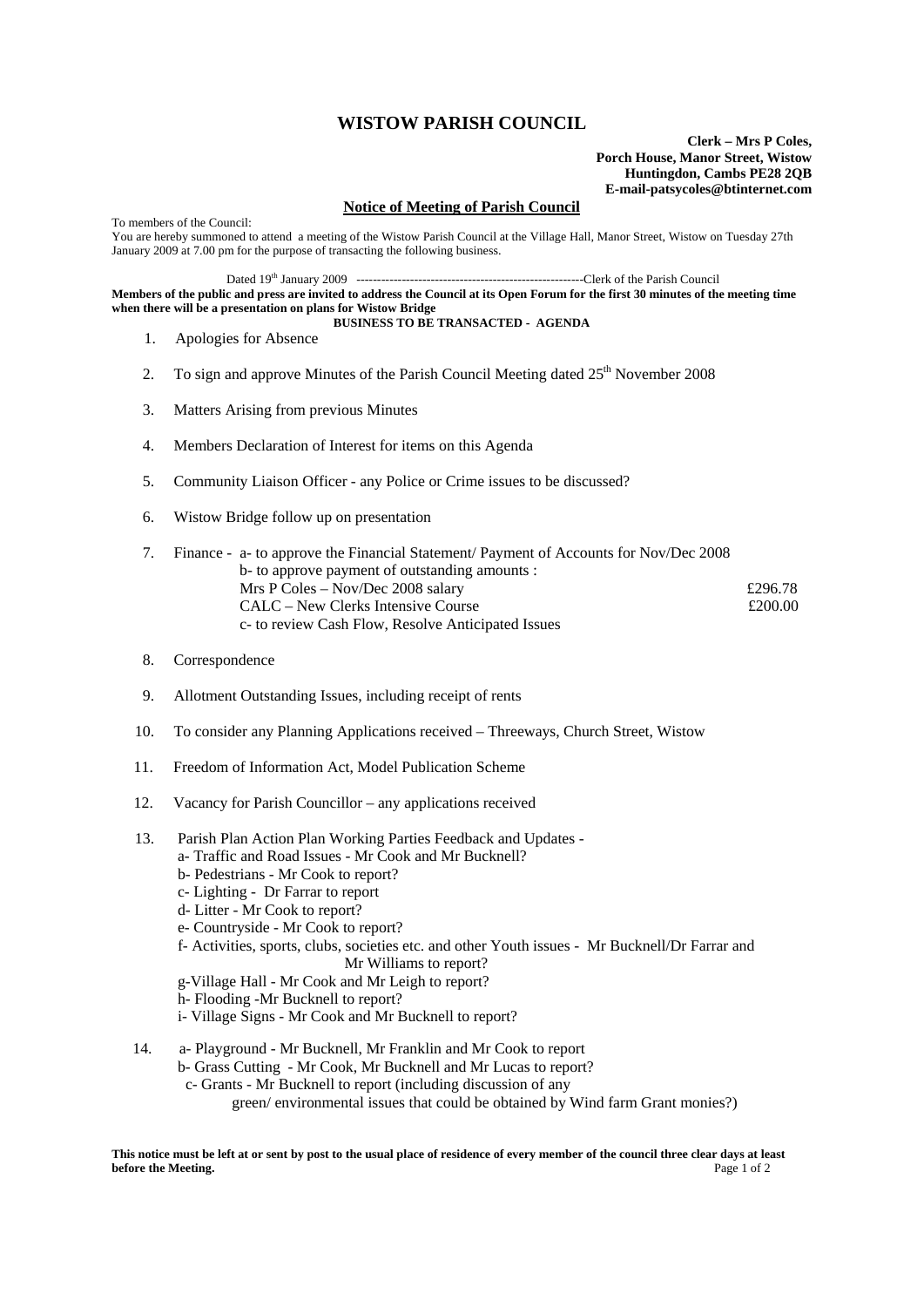## **WISTOW PARISH COUNCIL**

**Clerk – Mrs P Coles, Porch House, Manor Street, Wistow Huntingdon, Cambs PE28 2QB E-mail-patsycoles@btinternet.com**

## **Notice of Meeting of Parish Council**

To members of the Council: You are hereby summoned to attend a meeting of the Wistow Parish Council at the Village Hall, Manor Street, Wistow on Tuesday 27th January 2009 at 7.00 pm for the purpose of transacting the following business.

Dated 19th January 2009 -------------------------------------------------------Clerk of the Parish Council

**Members of the public and press are invited to address the Council at its Open Forum for the first 30 minutes of the meeting time when there will be a presentation on plans for Wistow Bridge BUSINESS TO BE TRANSACTED - AGENDA** 

- 1. Apologies for Absence
- 2. To sign and approve Minutes of the Parish Council Meeting dated  $25<sup>th</sup>$  November 2008
- 3. Matters Arising from previous Minutes
- 4. Members Declaration of Interest for items on this Agenda
- 5. Community Liaison Officer any Police or Crime issues to be discussed?
- 6. Wistow Bridge follow up on presentation
- 7. Finance a- to approve the Financial Statement/ Payment of Accounts for Nov/Dec 2008 b- to approve payment of outstanding amounts : Mrs P Coles – Nov/Dec 2008 salary  $\epsilon$  296.78  $CAL - New Clerks Intensive Course$   $£200.00$ c- to review Cash Flow, Resolve Anticipated Issues
- 8. Correspondence
- 9. Allotment Outstanding Issues, including receipt of rents
- 10. To consider any Planning Applications received Threeways, Church Street, Wistow
- 11. Freedom of Information Act, Model Publication Scheme
- 12. Vacancy for Parish Councillor any applications received
- 13. Parish Plan Action Plan Working Parties Feedback and Updates a- Traffic and Road Issues - Mr Cook and Mr Bucknell? b- Pedestrians - Mr Cook to report? c- Lighting - Dr Farrar to report d- Litter - Mr Cook to report? e- Countryside - Mr Cook to report? f- Activities, sports, clubs, societies etc. and other Youth issues - Mr Bucknell/Dr Farrar and Mr Williams to report? g-Village Hall - Mr Cook and Mr Leigh to report? h- Flooding -Mr Bucknell to report? i- Village Signs - Mr Cook and Mr Bucknell to report?
- 14. a- Playground Mr Bucknell, Mr Franklin and Mr Cook to report b- Grass Cutting - Mr Cook, Mr Bucknell and Mr Lucas to report? c- Grants - Mr Bucknell to report (including discussion of any green/ environmental issues that could be obtained by Wind farm Grant monies?)